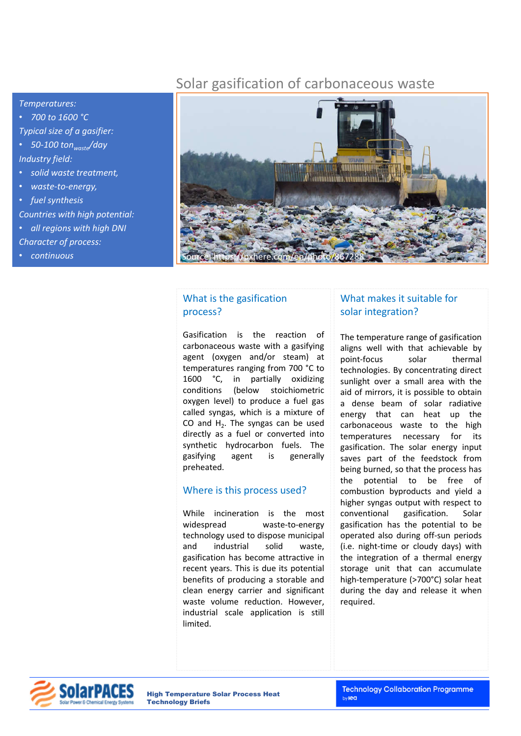## Solar gasification of carbonaceous waste



• *700 to 1600 °C Typical size of a gasifier:* 

• *50-100 tonwaste/day Industry field:* 

- *solid waste treatment,*
- *waste-to-energy,*
- *fuel synthesis*

*Countries with high potential:* 

- *all regions with high DNI*
- *Character of process:*
- *continuous*



## What is the gasification process?

Gasification is the reaction of carbonaceous waste with a gasifying agent (oxygen and/or steam) at temperatures ranging from 700 °C to 1600 °C, in partially oxidizing conditions (below stoichiometric oxygen level) to produce a fuel gas called syngas, which is a mixture of CO and  $H<sub>2</sub>$ . The syngas can be used directly as a fuel or converted into synthetic hydrocarbon fuels. The gasifying agent is generally preheated.

#### Where is this process used?

While incineration is the most widespread waste-to-energy technology used to dispose municipal and industrial solid waste, gasification has become attractive in recent years. This is due its potential benefits of producing a storable and clean energy carrier and significant waste volume reduction. However, industrial scale application is still limited.

## What makes it suitable for solar integration?

The temperature range of gasification aligns well with that achievable by point-focus solar thermal technologies. By concentrating direct sunlight over a small area with the aid of mirrors, it is possible to obtain a dense beam of solar radiative energy that can heat up the carbonaceous waste to the high temperatures necessary for its gasification. The solar energy input saves part of the feedstock from being burned, so that the process has the potential to be free of combustion byproducts and yield a higher syngas output with respect to conventional gasification. Solar gasification has the potential to be operated also during off-sun periods (i.e. night-time or cloudy days) with the integration of a thermal energy storage unit that can accumulate high-temperature (>700°C) solar heat during the day and release it when required.